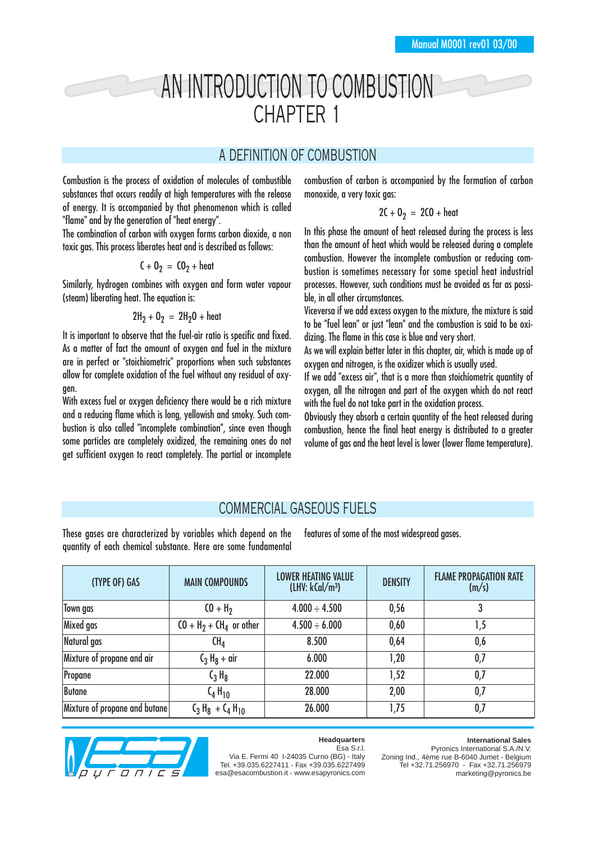# AN INTRODUCTION TO COMBUSTION CHAPTER 1

## A DEFINITION OF COMBUSTION

Combustion is the process of oxidation of molecules of combustible substances that occurs readily at high temperatures with the release of energy. It is accompanied by that phenomenon which is called "flame" and by the generation of "heat energy".

The combination of carbon with oxygen forms carbon dioxide, a non toxic gas. This process liberates heat and is described as follows:

$$
C + 02 = CO2 + heat
$$

Similarly, hydrogen combines with oxygen and form water vapour (steam) liberating heat. The equation is:

$$
2H_2 + 0_2 = 2H_2O + heat
$$

It is important to observe that the fuel-air ratio is specific and fixed. As a matter of fact the amount of oxygen and fuel in the mixture are in perfect or "stoichiometric" proportions when such substances allow for complete oxidation of the fuel without any residual of oxygen.

With excess fuel or oxygen deficiency there would be a rich mixture and a reducing flame which is long, yellowish and smoky. Such combustion is also called "incomplete combination", since even though some particles are completely oxidized, the remaining ones do not get sufficient oxygen to react completely. The partial or incomplete combustion of carbon is accompanied by the formation of carbon monoxide, a very toxic gas:

#### $2C + D<sub>2</sub> = 2CO + heat$

In this phase the amount of heat released during the process is less than the amount of heat which would be released during a complete combustion. However the incomplete combustion or reducing combustion is sometimes necessary for some special heat industrial processes. However, such conditions must be avoided as far as possible, in all other circumstances.

Viceversa if we add excess oxygen to the mixture, the mixture is said to be "fuel lean" or just "lean" and the combustion is said to be oxidizing. The flame in this case is blue and very short.

As we will explain better later in this chapter, air, which is made up of oxygen and nitrogen, is the oxidizer which is usually used.

If we add "excess air", that is a more than stoichiometric quantity of oxygen, all the nitrogen and part of the oxygen which do not react with the fuel do not take part in the oxidation process.

Obviously they absorb a certain quantity of the heat released during combustion, hence the final heat energy is distributed to a greater volume of gas and the heat level is lower (lower flame temperature).

## COMMERCIAL GASEOUS FUELS

These gases are characterized by variables which depend on the quantity of each chemical substance. Here are some fundamental features of some of the most widespread gases.

| (TYPE OF) GAS                 | <b>MAIN COMPOUNDS</b>    | <b>LOWER HEATING VALUE</b><br>(LHV: kCal/m <sup>3</sup> ) | <b>DENSITY</b> | <b>FLAME PROPAGATION RATE</b><br>(m/s) |
|-------------------------------|--------------------------|-----------------------------------------------------------|----------------|----------------------------------------|
| Town gas                      | $(0 + H_2)$              | $4.000 \div 4.500$                                        | 0,56           |                                        |
| Mixed gas                     | $CO + H2 + CH4$ or other | $4.500 \div 6.000$                                        | 0,60           | 1,5                                    |
| Natural gas                   | $\mathsf{CH}_4$          | 8.500                                                     | 0,64           | 0,6                                    |
| Mixture of propane and air    | $C_3 H_8 + \text{air}$   | 6.000                                                     | 1,20           | 0,7                                    |
| Propane                       | $C_3 H_8$                | 22.000                                                    | 1,52           | 0,7                                    |
| <b>Butane</b>                 | $C_4H_{10}$              | 28.000                                                    | 2,00           | 0,7                                    |
| Mixture of propane and butane | $C_3 H_8 + C_4 H_{10}$   | 26.000                                                    | 1,75           | 0,7                                    |



#### **Headquarters** Esa S.r.l.

**International Sales**

Via E. Fermi 40 I-24035 Curno (BG) - Italy Tel. +39.035.6227411 - Fax +39.035.6227499 esa@esacombustion.it - www.esapyronics.com

Pyronics International S.A./N.V. Zoning Ind., 4ème rue B-6040 Jumet - Belgium Tel +32.71.256970 - Fax +32.71.256979 marketing@pyronics.be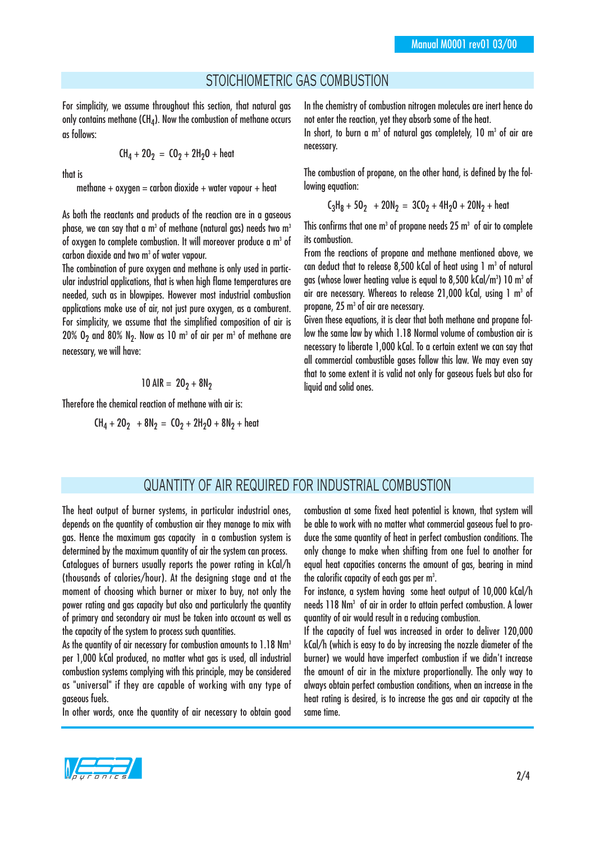#### STOICHIOMETRIC GAS COMBUSTION

For simplicity, we assume throughout this section, that natural gas only contains methane (CH $_A$ ). Now the combustion of methane occurs as follows:

$$
CH_4 + 20_2 = CO_2 + 2H_2O + heat
$$

that is

methane  $+$  oxygen  $=$  carbon dioxide  $+$  water vapour  $+$  heat

As both the reactants and products of the reaction are in a gaseous phase, we can say that a m<sup>3</sup> of methane (natural gas) needs two m<sup>3</sup> of oxygen to complete combustion. It will moreover produce a m<sup>3</sup> of carbon dioxide and two m<sup>3</sup> of water vapour.

The combination of pure oxygen and methane is only used in particular industrial applications, that is when high flame temperatures are needed, such as in blowpipes. However most industrial combustion applications make use of air, not just pure oxygen, as a comburent. For simplicity, we assume that the simplified composition of air is 20%  $0<sub>2</sub>$  and 80% N<sub>2</sub>. Now as 10 m<sup>3</sup> of air per m<sup>3</sup> of methane are necessary, we will have:

$$
10 \text{ AIR} = 20_2 + 8 \text{N}_2
$$

Therefore the chemical reaction of methane with air is:

$$
CH_4 + 20_2 + 8N_2 = CO_2 + 2H_2O + 8N_2 + heat
$$

In the chemistry of combustion nitrogen molecules are inert hence do not enter the reaction, yet they absorb some of the heat. In short, to burn a m<sup>3</sup> of natural gas completely,  $10 \text{ m}^3$  of air are

necessary.

The combustion of propane, on the other hand, is defined by the following equation:

$$
C_3H_8 + 50_2 + 20N_2 = 3CO_2 + 4H_2O + 20N_2 + heat
$$

This confirms that one  $m<sup>3</sup>$  of propane needs 25  $m<sup>3</sup>$  of air to complete its combustion.

From the reactions of propane and methane mentioned above, we can deduct that to release 8,500 kCal of heat using 1 m<sup>3</sup> of natural gas (whose lower heating value is equal to 8,500 kCal/m3) 10 m3 of air are necessary. Whereas to release 21,000 kCal, using 1 m<sup>3</sup> of propane, 25 m<sup>3</sup> of air are necessary.

Given these equations, it is clear that both methane and propane follow the same law by which 1.18 Normal volume of combustion air is necessary to liberate 1,000 kCal. To a certain extent we can say that all commercial combustible gases follow this law. We may even say that to some extent it is valid not only for gaseous fuels but also for liquid and solid ones.

#### QUANTITY OF AIR REQUIRED FOR INDUSTRIAL COMBUSTION

The heat output of burner systems, in particular industrial ones. depends on the quantity of combustion air they manage to mix with gas. Hence the maximum gas capacity in a combustion system is determined by the maximum quantity of air the system can process. Catalogues of burners usually reports the power rating in kCal/h (thousands of calories/hour). At the designing stage and at the moment of choosing which burner or mixer to buy, not only the

power rating and gas capacity but also and particularly the quantity of primary and secondary air must be taken into account as well as the capacity of the system to process such quantities.

As the quantity of air necessary for combustion amounts to 1.18 Nm<sup>3</sup> per 1,000 kCal produced, no matter what gas is used, all industrial combustion systems complying with this principle, may be considered as "universal" if they are capable of working with any type of gaseous fuels.

In other words, once the quantity of air necessary to obtain good

combustion at some fixed heat potential is known, that system will be able to work with no matter what commercial gaseous fuel to produce the same quantity of heat in perfect combustion conditions. The only change to make when shifting from one fuel to another for equal heat capacities concerns the amount of gas, bearing in mind the calorific capacity of each gas per m $^{\rm 3}.$ 

For instance, a system having some heat output of 10,000 kCal/h needs 118 Nm3 of air in order to attain perfect combustion. A lower quantity of air would result in a reducing combustion.

If the capacity of fuel was increased in order to deliver 120,000 kCal/h (which is easy to do by increasing the nozzle diameter of the burner) we would have imperfect combustion if we didn't increase the amount of air in the mixture proportionally. The only way to always obtain perfect combustion conditions, when an increase in the heat rating is desired, is to increase the gas and air capacity at the same time.

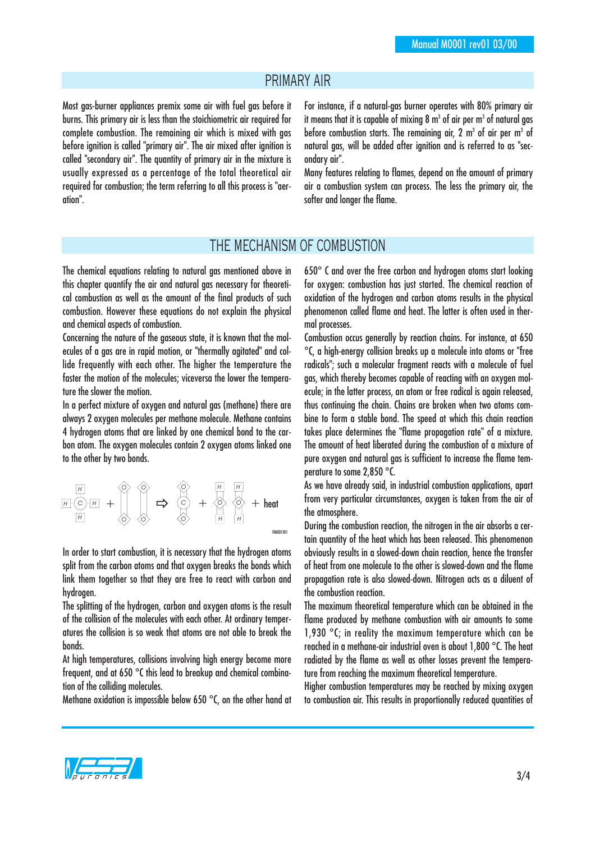#### PRIMARY AIR

Most gas-burner appliances premix some air with fuel gas before it burns. This primary air is less than the stoichiometric air required for complete combustion. The remaining air which is mixed with gas before ignition is called "primary air". The air mixed after ignition is called "secondary air". The quantity of primary air in the mixture is usually expressed as a percentage of the total theoretical air required for combustion; the term referring to all this process is "aeration".

For instance, if a natural-gas burner operates with 80% primary air it means that it is capable of mixing 8  $m<sup>3</sup>$  of air per  $m<sup>3</sup>$  of natural gas before combustion starts. The remaining air,  $2 \text{ m}^3$  of air per m<sup>3</sup> of natural gas, will be added after ignition and is referred to as "secondary air".

Many features relating to flames, depend on the amount of primary air a combustion system can process. The less the primary air, the softer and longer the flame.

#### THE MECHANISM OF COMBUSTION

The chemical equations relating to natural gas mentioned above in this chapter quantify the air and natural gas necessary for theoretical combustion as well as the amount of the final products of such combustion. However these equations do not explain the physical and chemical aspects of combustion.

Concerning the nature of the gaseous state, it is known that the molecules of a gas are in rapid motion, or "thermally agitated" and collide frequently with each other. The higher the temperature the faster the motion of the molecules; viceversa the lower the temperature the slower the motion.

In a perfect mixture of oxygen and natural gas (methane) there are always 2 oxygen molecules per methane molecule. Methane contains 4 hydrogen atoms that are linked by one chemical bond to the carbon atom. The oxygen molecules contain 2 oxygen atoms linked one to the other by two bonds.

$$
\begin{array}{ccccccc}\n\hline\n\text{H} & \text{H} & \text{H} & \text{H} & \text{H} & \text{H} \\
\hline\n\text{H} & \text{H} & \text{H} & \text{H} & \text{H} & \text{H} & \text{H} \\
\hline\n\text{H} & \text{H} & \text{H} & \text{H} & \text{H} & \text{H} & \text{H} \\
\hline\n\text{H} & \text{H} & \text{H} & \text{H} & \text{H} & \text{H} & \text{H} \\
\hline\n\text{H} & \text{H} & \text{H} & \text{H} & \text{H} & \text{H} & \text{H} & \text{H} \\
\hline\n\text{H} & \text{H} & \text{H} & \text{H} & \text{H} & \text{H} & \text{H} & \text{H} & \text{H} \\
\hline\n\text{H} & \text{H} & \text{H} & \text{H} & \text{H} & \text{H} & \text{H} & \text{H} & \text{H} \\
\hline\n\text{H} & \text{H} & \text{H} & \text{H} & \text{H} & \text{H} & \text{H} & \text{H} & \text{H} \\
\hline\n\text{H} & \text{H} & \text{H} & \text{H} & \text{H} & \text{H} & \text{H} & \text{H} & \text{H} \\
\hline\n\text{H} & \text{H} & \text{H} & \text{H} & \text{H} & \text{H} & \text{H} & \text{H} & \text{H} \\
\hline\n\text{H} & \text{H} & \text{H} & \text{H} & \text{H} & \text{H} & \text{H} & \text{H} & \text{H} & \text{H} & \text{H} \\
\hline\n\text{H} & \text{H} & \text{H} & \text{H} & \text{H} & \text{H} & \text{H} & \text{H} & \text{H} & \text{H} & \text{H} & \text{H} \\
\hline\n\text{H} & \text{H} & \text{H} & \text{H} & \text{H} & \text{H} & \text{H} & \text{H} & \text{H} & \text{H} & \text{H} & \text{H} & \text{H} \\
\hline
$$

In order to start combustion, it is necessary that the hydrogen atoms split from the carbon atoms and that oxygen breaks the bonds which link them together so that they are free to react with carbon and hydrogen.

The splitting of the hydrogen, carbon and oxygen atoms is the result of the collision of the molecules with each other. At ordinary temperatures the collision is so weak that atoms are not able to break the bonds.

At high temperatures, collisions involving high energy become more frequent, and at 650 °C this lead to breakup and chemical combination of the colliding molecules.

Methane oxidation is impossible below 650 °C, on the other hand at

650° C and over the free carbon and hydrogen atoms start looking for oxygen: combustion has just started. The chemical reaction of oxidation of the hydrogen and carbon atoms results in the physical phenomenon called flame and heat. The latter is often used in thermal processes.

Combustion occus generally by reaction chains. For instance, at 650 °C, a high-energy collision breaks up a molecule into atoms or "free radicals"; such a molecular fragment reacts with a molecule of fuel gas, which thereby becomes capable of reacting with an oxygen molecule; in the latter process, an atom or free radical is again released, thus continuing the chain. Chains are broken when two atoms combine to form a stable bond. The speed at which this chain reaction takes place determines the "flame propagation rate" of a mixture. The amount of heat liberated during the combustion of a mixture of pure oxygen and natural gas is sufficient to increase the flame temperature to some 2,850 °C.

As we have already said, in industrial combustion applications, apart from very particular circumstances, oxygen is taken from the air of the atmosphere.

During the combustion reaction, the nitrogen in the air absorbs a certain quantity of the heat which has been released. This phenomenon obviously results in a slowed-down chain reaction, hence the transfer of heat from one molecule to the other is slowed-down and the flame propagation rate is also slowed-down. Nitrogen acts as a diluent of the combustion reaction.

The maximum theoretical temperature which can be obtained in the flame produced by methane combustion with air amounts to some 1,930 °C; in reality the maximum temperature which can be reached in a methane-air industrial oven is about 1,800 °C. The heat radiated by the flame as well as other losses prevent the temperature from reaching the maximum theoretical temperature.

Higher combustion temperatures may be reached by mixing oxygen to combustion air. This results in proportionally reduced quantities of